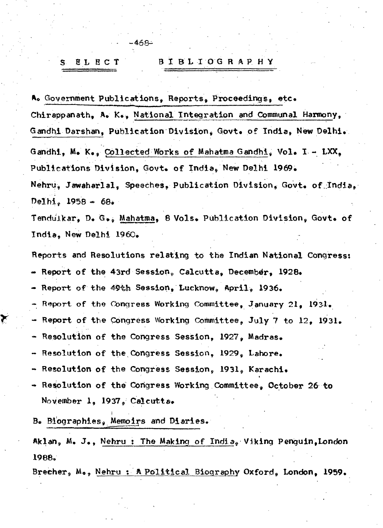## **BIBLIOGRAPHY** EL ECT S.

نے68۔

A. Government Publications, Reports, Proceedings, etc. Chirappanath, A. K., National Integration and Communal Harmony, Gandhi Darshan, Publication Division, Govt. of India, New Delhi. Gandhi, M. K., Collected Works of Mahatma Gandhi, Vol. I - LXX, Publications Division, Govt. of India, New Delhi 1969. Nehru, Jawaharlal, Speeches, Publication Division, Govt. of India, Delhi.  $1958 - 68.$ 

Tenduikar, D. G., Mahatma, 8 Vols. Publication Division, Govt. of India, New Delhi 1960.

Reports and Resolutions relating to the Indian National Congress:

- Report of the 43rd Session, Calcutta, December, 1928.

- Report of the 49th Session, Lucknow, April, 1936.

- Report of the Congress Working Committee, January 21, 1931.

- Report of the Congress Working Committee, July 7 to 12, 1931.

- Resolution of the Congress Session, 1927, Madras.

- Resolution of the Congress Session, 1929, Labore.

- Resolution of the Congress Session, 1931, Karachi.

- Resolution of the Congress Working Committee, October 26 to November 1, 1937, Calcutta.

B. Biographies, Memoirs and Diaries.

Ŧ

Aklan,  $M_0$ , J., Nehru: The Making of India. Viking Penguin, London 1988.

Brecher, M., Nehru: A Political Biography Oxford, London, 1959.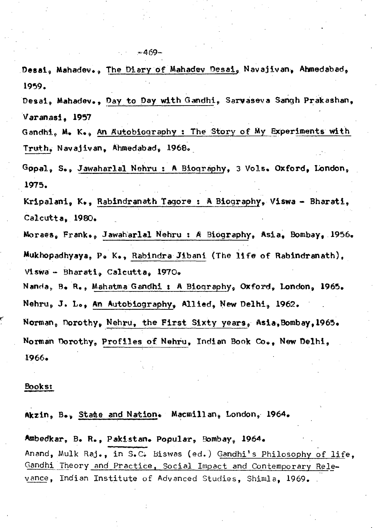Desal, Mahadev., Day to Day with Gandhi, Sarvaseva Sangh Prakashan, Varanasi, 1957 Gandhi, M. K., An Autobiography: The Story of My Experiments with  $\mathsf{truth}_s$  Navajivan, Ahmedabad, 1968. Gopal, S., Jawaharlal Nehru: A Biography, 3 Vols. Oxford, London, 1975. Kripalani, K., Rabindranath Tagore: A Biography, Viswa - Bharati, Calcutta. 1980. Moraes, Frank., Jawaharlal Nehru : A Biography, Asia, Bombay, 1956. Mukhopadhyaya, P. K., Rabindra Jibani (The life of Rabindranath), Viswa - Bharati, Calcutta, 1970. Nanda, B. R., Mahatma Gandhi : A Biography, Oxford, London, 1965. Nehru, J. L., An Autobiography, Allied, New Delhi, 1962. Norman, Dorothy, Nehru, the First Sixty years, Asia, Bombay, 1965. Norman Dorothy, Profiles of Nehru, Indian Book Co., New Delhi, 1966.

## <u>Books:</u>

1959.

Akzin, B., State and Nation. Macmillan, London, 1964. Ambedkar, B. R., Pakistan. Popular, Bombay, 1964. Anand, Mulk Raj., in S.C. Biswas (ed.) Gandhi's Philosophy of life, Gandhi Theory and Practice, Social Impact and Contemporary Relevance, Indian Institute of Advanced Studies, Shimla, 1969.

 $-469-$ 

Desai, Mahadev., The Diary of Mahadev Desai, Navajivan, Ahmedabad,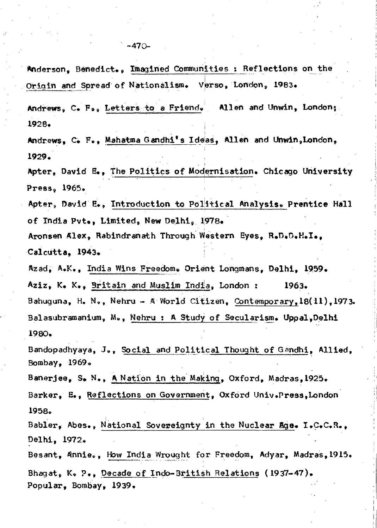Anderson, Benedict., Imagined Communities : Reflections on the Origin and Spread of Nationalism. Verso, London, 1983. Andrews, C. F., Letters to a Friend. Allen and Unwin, London: 1928. Andrews, C. F., Mahatma Gandhi's Ideas, Allen and Unwin, London, 1929. Apter. David E.. The Politics of Modernisation. Chicago University Press. 1965. Apter, David E., Introduction to Political Analysis. Prentice Hall of India Pyt.. Limited. New Delhi. 1978. Aronsen Alex, Rabindranath Through Western Eyes, R.D.D.H.I., Calcutta, 1943. Azad, A.K., India Wins Freedom. Orient Longmans, Delhi, 1959. Aziz, K. K., Britain and Muslim India, London: 1963. Bahuguna, H. N., Nehru - A World Citizen, Contemporary,  $18(11)$ , 1973. Balasubramanium, M., Nehru : A Study of Secularism. Uppal, Delhi 1980. Bandopadhyaya, J., Social and Political Thought of Gandhi, Allied, Bombay. 1969. Banerjee, S. N., A Nation in the Making, Oxford, Madras, 1925. Barker, E., Reflections on Government, Oxford Univ. Press, London 1958. Babler, Abes., National Sovereignty in the Nuclear Age. I.C.C.R., Delhi, 1972. Besant, Annie., How India Wrought for Freedom, Advar, Madras. 1915. Bhagat, K. P., Decade of Indo-British Relations (1937-47). Popular, Bombay, 1939.

 $-470-$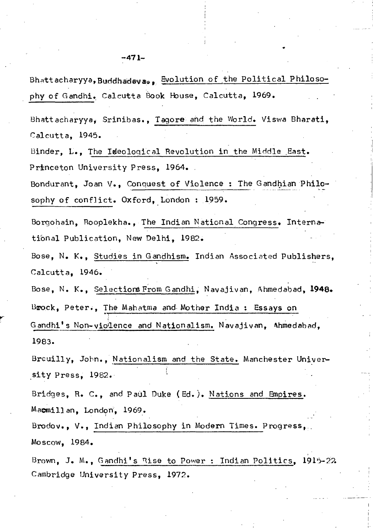Bhattacharyya, Srinibas., Tagore and the World. Viswa Bharati, Calcutta. 1945.

Binder, L., The Iseological Revolution in the Middle East. Princeton University Press, 1964.

Bondurant, Joan V., Conquest of Violence : The Gandhian Philosophy of conflict. Oxford, London : 1959.

Borgohain, Rooplekha., The Indian National Congress. International Publication, New Delhi, 1982.

Bose, N. K., Studies in Gandhism. Indian Associated Publishers, Calcutta. 1946.

Bose, N. K., Selections From Gandhi, Navajivan, Ahmedabad, 1948. Brock, Peter., The Mahatma and Mother India: Essays on Gandhi's Non-violence and Nationalism. Navajivan, Ahmedabad. 1983.

Breuilly, John., Nationalism and the State. Manchester University Press, 1982.

Bridges, R. C., and Paul Duke (Ed.). Nations and Empires. Macmillan, London, 1969.

Brodov., V., Indian Philosophy in Modern Times. Progress, Moscow. 1984.

Brown, J. M., Gandhi's Rise to Power : Indian Politics, 1915-22 Cambridge University Press, 1972.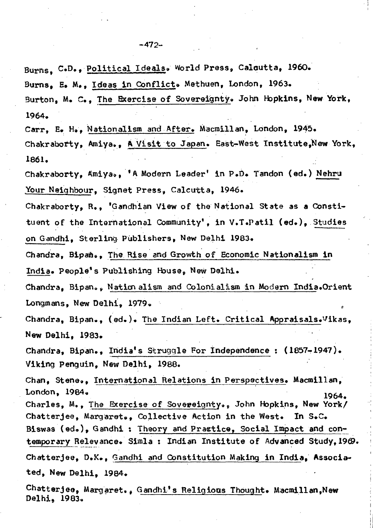Burns, C.D., Political Ideals. World Press, Calcutta, 1960. Burns, E. M., Ideas in Conflict. Methuen, London, 1963.

Burton, M. C., The Exercise of Sovereignty. John Hopkins, New York, 1964.

Carr, E. H., Nationalism and After. Macmillan, London, 1945. Chakraborty, Amiya., A Visit to Japan. East-West Institute, New York. 1861.

Chakraborty, Amiya., 'A Modern Leader' in P.D. Tandon (ed.) Nehru Your Neighbour, Signet Press, Calcutta, 1946.

Chakraborty, R., 'Gandhian View of the National State as a Constituent of the International Community', in V.T.Patil (ed.), Studies on Gandhi, Sterling Publishers, New Delhi 1983.

Chandra, Bipam., The Rise and Growth of Economic Nationalism in India. People's Publishing House, New Delhi.

Chandra, Bipan., Nationalism and Colonialism in Modern India.Orient Longmans, New Delhi. 1979.

Chandra, Bipan., (ed.). The Indian Left. Critical Appraisals.Vikas. New Delhi. 1983.

Chandra, Bipan., India's Struggle For Independence: (1857-1947). Viking Penguin. New Delhi, 1988.

Chan, Stene., International Relations in Perspectives. Macmillan, London, 1984. 1964.

Charles, M., The Exercise of Sovereignty., John Hopkins, New York/ Chatterjee, Margaret.. Collective Action in the West. In  $S_{\bullet}C_{\bullet}$ Biswas (ed.), Gandhi : Theory and Prastice, Social Impact and contemporary Relevance. Simla: Indian Institute of Advanced Study, 1969. Chatterjee, D.K., Gandhi and Constitution Making in India, Associated, New Delhi. 1984.

Chatterjee, Margaret., Gandhi's Religious Thought. Macmillan, New Delhi, 1983.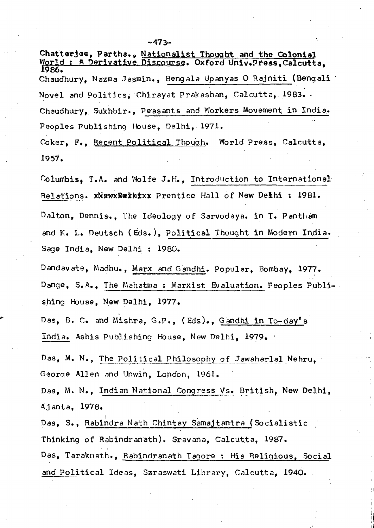Chatterjee, Partha., Nationalist Thought and the Colonial World: A Derivative Discourse. Oxford Univ.Press, Calcutta, 1986. Chaudhury, Nazma Jasmin., Bengala Upanyas O Rajniti (Bengali Novel and Politics, Chirayat Prakashan, Calcutta, 1983. Chaudhury, Sukhbir., Peasants and Workers Movement in India. Peoples Publishing House, Delhi, 1971. Coker, F., Recent Political Though. World Press, Calcutta,

1957.

Columbis, T.A. and Wolfe J.H., Introduction to International Relations. xNEWXDEINIXX Prentice Hall of New Delhi : 1981. Dalton, Dennis.. The Ideology of Sarvodaya. in T. Pantham and K. L. Deutsch (Eds.), Political Thought in Modern India. Sage India, New Delhi : 1980.

Dandavate, Madhu., Marx and Gandhi. Popular, Bombay, 1977. Dange, S.A., The Mahatma : Marxist Evaluation. Peoples Publishing House, New Delhi, 1977.

Das, B. C. and Mishra, G.P., (Eds)., Gandhi in To-day's India. Ashis Publishing House, New Delhi, 1979.

Das, M. N., The Political Philosophy of Jawaharlal Nehru, George Allen and Unwin, London, 1961.

Das, M. N., Indian National Congress Vs. British, New Delhi, Ajanta, 1978.

Das, S., Rabindra Nath Chintay Samajtantra (Socialistic Thinking of Rabindranath). Sravana, Calcutta, 1987. Das, Taraknath., Rabindranath Tagore : His Religious, Social and Political Ideas, Saraswati Library, Calcutta, 1940.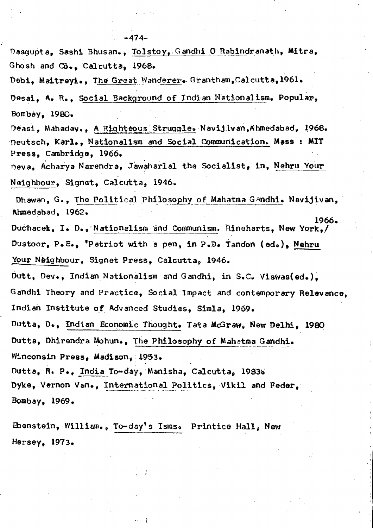Dasgupta, Sashi Bhusan., Tolstoy, Gandhi O Rabindranath, Mitra, Ghosh and Co., Calcutta, 1968. Debi, Maitreyi., The Great Wanderer. Grantham, Calcutta, 1961. Desai, A. R., Social Background of Indian Nationalism. Popular, Bombay, 1980. Deasi, Mahadev., A Righteous Struggle. Navijivan, Ahmedabad, 1968. Deutsch, Karl., Nationalism and Social Communication. Mass: MIT Press. Cambridge. 1966. Deva, Acharya Narendra, Jawaharlal the Socialist, in, Nehru Your Neighbour, Signet, Calcutta, 1946. Dhawan, G., The Political Philosophy of Mahatma Gandhi. Navijivan, Ahmedabad, 1962. 1966. Duchacek, I. D., Nationalism and Communism. Rineharts, New York./ Dustoor, P.E., 'Patriot with a pen, in P.D. Tandon (ed.). Nehru Your Naighbour, Signet Press, Calcutta, 1946. Dutt, Dev., Indian Nationalism and Gandhi, in S.C. Viswas(ed.). Gandhi Theory and Practice, Social Impact and contemporary Relevance, Indian Institute of Advanced Studies, Simla, 1969. Dutta, D., Indian Economic Thought. Tata McGraw, New Delhi. 1980 Dutta, Dhirendra Mohun., The Philosophy of Mahatma Gandhi. Winconsin Press, Madison, 1953. Dutta, R. P., India To-day, Manisha, Calcutta, 1983. Dyke, Vernon Van., International Politics, Vikil and Feder, Bombay. 1969.

Ebenstein, William., To-day's Isms. Printice Hall, New Hersey, 1973.

 $-474-$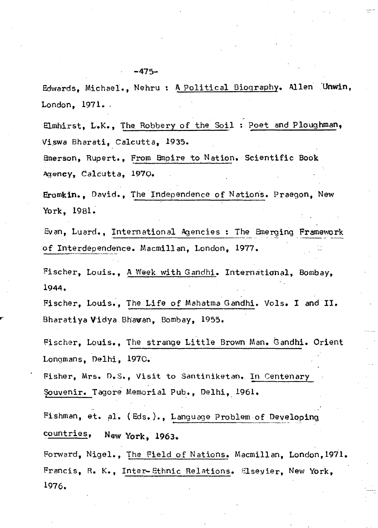Edwards, Michael., Nehru : A Political Biography. Allen Unwin, London, 1971.

Elmhirst, L.K., The Robbery of the Soil: Poet and Ploughman, Viswa Bharati, Calcutta, 1935.

Emerson, Rupert., From Empire to Nation. Scientific Book Agency, Calcutta, 1970.

 $-475-$ 

Eromkin., David., The Independence of Nations. Praegon, New York, 1981.

Evan, Luard., International Agencies : The Emerging Framework of Interdependence. Macmillan, London, 1977.

Fischer, Louis., A Week with Gandhi. International, Bombay, 1944.

Fischer, Louis., The Life of Mahatma Gandhi. Vols. I and II. Bharatiya Vidya Bhawan, Bombay, 1955.

Fischer, Louis., The strange Little Brown Man. Gandhi. Orient Longmans, Delhi, 1970.

Fisher, Mrs. D.S., Visit to Santiniketan. In Centenary Souvenir. Tagore Memorial Pub., Delhi, 1961.

Fishman, et. al. (Eds.)., Language Problem of Developing countries, New York, 1963.

Forward, Nigel., The Field of Nations. Macmillan, London, 1971. Francis, R. K., Inter-Ethnic Relations. Elsevier, New York, 1976.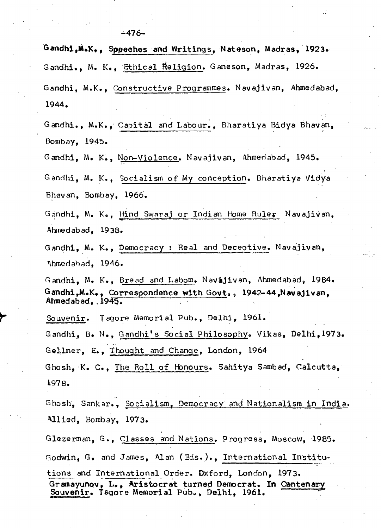Gandhi, M.K., Speeches and Writings, Nateson, Madras, 1923. Gandhi., M. K., Ethical Religion. Ganeson. Madras. 1926. Gandhi, M.K., Constructive Programmes. Navajivan, Ahmedabad, 1944.

Gandhi., M.K., Capital and Labour., Bharatiya Bidya Bhavan, Bombay, 1945.

Gandhi, M. K., Non-Violence. Navajivan, Ahmedabad, 1945.

Gandhi, M. K., Socialism of My conception. Bharatiya Vidya Bhavan, Bombay, 1966.

Gandhi, M. K., Hind Swaraj or Indian Home Ruler Navajivan, Ahmedabad. 1938.

Gandhi, M. K., Democracy : Real and Deceptive. Navajivan. Ahmedahad. 1946.

Gandhi, M. K., Bread and Labom. Navajivan, Ahmedabad. 1984. Gandhi, M.K., Correspondence with Govt., 1942-44, Navajivan, Ahmedabad. 1945.

Souvenir. Tagore Memorial Pub., Delhi, 1961.

Gandhi, B. N., Gandhi's Social Philosophy. Vikas, Delhi, 1973. Gellner, E., Thought and Change, London, 1964

Ghosh, K. C., The Roll of Honours. Sahitya Sambad, Calcutta, 1978.

Ghosh, Sankar., Socialism, Democracy and Nationalism in India. Allied, Bombay, 1973.

Glezerman, G., Classes and Nations. Progress, Moscow, 1985. Godwin, G. and James, Alan (Eds.)., International Institutions and International Order. Dxford, London, 1973. Gramayunov, L., Aristocrat turned Democrat. In Centenary Souvenir. Tagore Memorial Pub., Delhi, 1961.

 $-476-$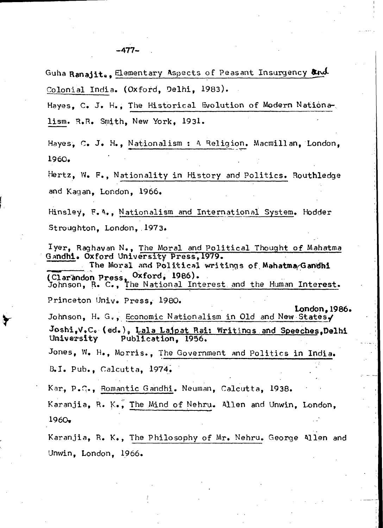Guha Ranajite, Elementary Aspects of Peasant Insurgency and Colonial India. (Oxford. Delhi. 1983).

Hayes. C. J. H., The Historical Evolution of Modern Nationalism. R.R. Smith, New York, 1931.

Hayes, C. J. H., Nationalism : A Religion. Macmillan, London, 1960.

Hertz, W. F., Nationality in History and Politics. Routhledge and Kagan, London, 1966.

Hinsley, F.A., Nationalism and International System. Hodder Stroughton. London. 1973.

 $l$ yer, Raghavan N., The Moral and Political Thought of Mahatma Gandhi. Oxford University Press, 1979. The Moral and Political writings of Mahatma/Gandhi (Clarandon Press, Oxford, 1986).<br>Johnson, R. C., The National Interest and the Human Interest. Princeton Univ. Press, 1980. London. 1986. Johnson, H. G., Economic Nationalism in Old and New States. Joshi, V.C. (ed.), Lala Lajpat Rai: Writings and Speeches, Delhi University Publication. 1956. Jones, W. H., Morris., The Government and Politics in India. B.I. Pub., Calcutta, 1974.

Kar, P.C., Romantic Gandhi. Neuman, Calcutta, 1938. Karanjia, R. K., The Mind of Nehru. Allen and Unwin, London,  $1960.$ 

Karanjia, R. K., The Philosophy of Mr. Nehru. George 411en and Unwin, London, 1966.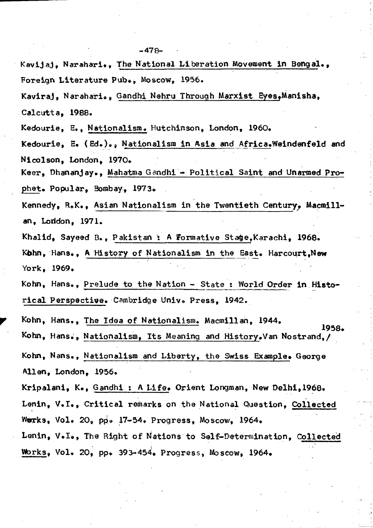- Kavijaj, Narahari., The National Liberation Movement in Bengal., Foreign Literature Pub., Moscow, 1956.
- Kaviraj, Narahari.. Gandhi Nehru Through Marxist Eyes, Manisha, Calcutta, 1988.
- Kedourie, E., Nationalism. Hutchinson, London, 1960.
- Kedourie, E. (Ed.)., Nationalism in Asia and Africa.Weindenfeld and Nicolson, London, 1970.
- Keer, Dhananjay., Mahatma Gandhi Political Saint and Unarmed Prophet. Popular, Bombay, 1973.
- Kennedy, R.K., Asian Nationalism in the Twentieth Century, Macmillan, Loridon, 1971.
- Khalid, Sayeed B., Pakistan : A Formative Stage, Karachi, 1968. Kohn, Hans., A History of Nationalism in the East. Harcourt, New York, 1969.
- Kohn, Hans., Prelude to the Nation State : World Order in Historical Perspective. Cambridge Univ. Press. 1942.
- Kohn, Hans., The Idea of Nationalism. Macmillan, 1944. 1958. Kohn, Hans., Nationalism, Its Meaning and History. Van Nostrand, / Kohn, Nans., Nationalism and Liberty, the Swiss Example. George Allen, London, 1956. Kripalani, K., Gandhi : A Life. Orient Longman, New Delhi, 1968. Lenin, V.I., Critical remarks on the National Question, Collected
- Werks, Vol. 20, pp. 17-54. Progress, Moscow, 1964.
- Lenin, V.I., The Right of Nations to Self-Determination, Collected Works, Vol. 20, pp. 393-454, Progress, Moscow, 1964.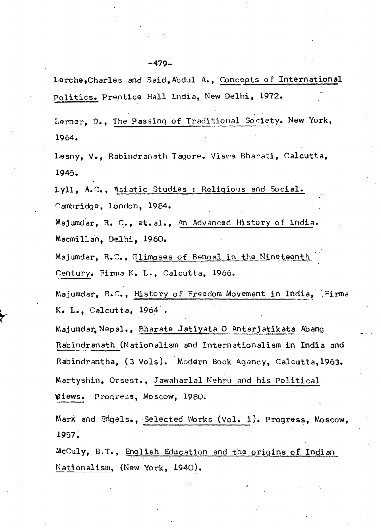Lerche, Charles and Said, Abdul A., Concepts of International Politics. Prentice Hall India. New Delhi. 1972.

Lerner, D., The Passing of Traditional Society. New York, 1964.

Lesny, V., Rabindranath Tagore. Viswa Bharati, Calcutta, 1945.

Lyll, A.C., Asiatic Studies : Religious and Social. Cambridge, London, 1984.

Majumdar, R. C., et.al., An Advanced History of India. Macmillan, Delhi, 1960.

Majumdar, R.C., Glimpses of Bengal in the Nineteenth Century. Firma K. L., Calcutta, 1966.

Majumdar, R.C., History of Freedom Movement in India, Firma  $K<sub>e</sub>$  L., Calcutta, 1964.

Majumdar Nepal., Bharate Jatiyata O Antarjatikata Abang Rabindranath (Nationalism and Internationalism in India and Rabindrantha, (3 Vols). Modern Book Agency, Calcutta, 1963. Martyshin, Orsest., Jawaharlal Nehru and his Political Wiews. Progress, Moscow, 1980.

Marx and Engels., Selected Works (Vol. 1). Progress, Moscow, 1957.

McCuly, B.T., English Education and the origins of Indian Nationalism, (New York, 1940).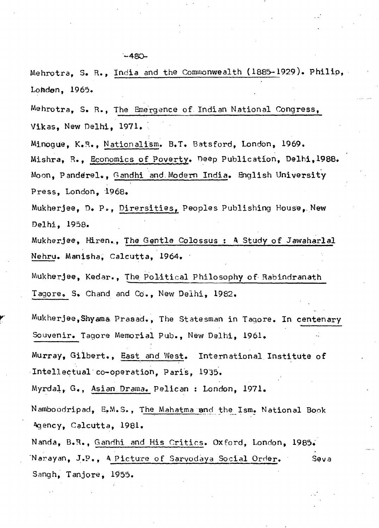Mehrotra, S. R., India and the Commonwealth (1885-1929). Philip, London, 1965.

Mehrotra, S. R., The Emergence of Indian National Congress, Vikas. New Delhi. 1971.

Minoque, K.R., Nationalism. B.T. Batsford, London, 1969. Mishra, R., Economics of Poverty. Deep Publication, Delhi, 1988. Moon, Panderel., Gandhi and Modern India. English University Press. London. 1968.

Mukherjee, D. P., Dirersities, Peoples Publishing House, New Delhi, 1958.

Mukherjee, Hiren., The Gentle Colossus: A Study of Jawaharlal Nehru. Manisha, Calcutta, 1964.

Mukherjee, Kedar., The Political Philosophy of Rabindranath Tagore. S. Chand and Co., New Delhi. 1982.

Mukherjee,Shyama Prasad., The Statesman in Tagore. In centenary Souvenir. Tagore Memorial Pub.. New Delhi. 1961.

Murray, Gilbert., East and West. International Institute of Intellectual co-operation, Paris, 1935.

Myrdal, G., Asian Drama. Pelican : London, 1971.

Namboodripad, E.M.S., The Mahatma and the Ism. National Book Agency, Calcutta, 1981.

Nanda, B.R., Gandhi and His Critics. Oxford, London, 1985. Narayan, J.P., A Picture of Sarvodaya Social Order. Seva Sangh, Tanjore, 1955.

 $-480-$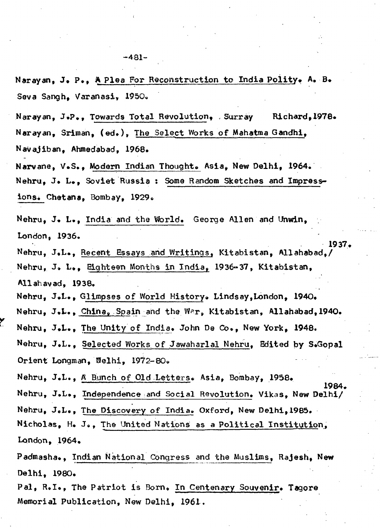Narayan, J. P., A Plea For Reconstruction to India Polity. A. B. Seva Sangh. Varanasi. 1950.

Narayan, J.P., Towards Total Revolution, Surray Richard, 1978. Narayan, Sriman, (ed.), The Select Works of Mahatma Gandhi, Navajiban, Ahmedabad, 1968.

Narvane, V.S., Modern Indian Thought. Asia, New Delhi, 1964. Nehru, J. L., Soviet Russia : Some Random Sketches and Impressions. Chetana, Bombay, 1929.

Nehru, J. L., India and the World. George Allen and Unwin, London, 1936.

Nehru, J.L., Recent Essays and Writings. Kitabistan. Allahabad./ Nehru, J. L., Eighteen Months in India, 1936-37, Kitabistan, Allahayad, 1938.

1937.

1984.

Nehru, J.L., Glimpses of World History. Lindsay, London, 1940.

Nehru, J.L., China, Spain and the War, Kitabistan, Allahabad, 1940.

Nehru, J.L., The Unity of India. John De Co., New York, 1948.

Nehru, J.L., Selected Works of Jawaharlal Nehru, Edited by S.Gopal Orient Longman, Welhi, 1972-80.

Nehru, J.L., A Bunch of Old Letters. Asia, Bombay, 1958.

Nehru, J.L., Independence and Social Revolution. Vikas, New Delhi/

Nehru, J.L., The Discovery of India. Oxford, New Delhi, 1985.

Nicholas, H. J., The United Nations as a Political Institution, London, 1964.

Padmasha., Indian National Congress and the Muslims, Rajesh, New Delhi, 1980.

Pal, R.I., The Patriot is Born. In Centenary Souvenir. Tagore Memorial Publication, New Delhi, 1961.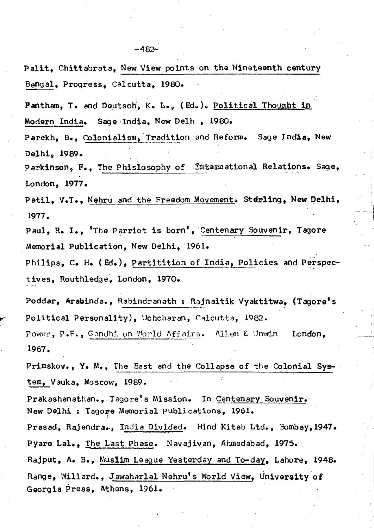Palit, Chittabrata, New View points on the Nineteenth century Bengal, Progress, Calcutta, 1980.

Pantham, T. and Deutsch, K. L., (Ed.). Political Thought in Modern India. Sage India, New Delh, 1980.

Parekh, B., Colonialism, Tradition and Reform. Sage India, New Delhi, 1989.

Parkinson, F., The Phislosophy of International Relations. Sage, LOndon, 1977.

Patil, V.T., Nehru and the Freedom Movement. Sterling, New Delhi, 1977.

Paul, R. I., 'The Parriot is born', Centenary Souvenir, Tagore Memorial Publication, New Delhi, 1961.

. .. Philips, C. H. (Ed.), Partitition of India, Policies and Perspectives, Routhledge, London, 1970.

Poddar, Arabinda., Rabindranath : Rajnaitik Vyaktitwa, (Tagore's Political Personality), Uchcharan, Calcutta, 1982.

Power, P.F., Gondhi on World Affairs. Allen & Unwin London, 1967.

Primskov., Y. M., The East and the Collapse of the Colonial System, Vauka, Moscow, 1989.

Prakashanathan., Tagore's Mission. In Centenary Souvenir. New Delhi : Tagore Memorial Publications, 1961.

Prasad, Rajendra., India Divided. Hind Kitab Ltd., Bombay, 1947. Pyare Lal., The Last Phase. Navajivan, Ahmedabad, 1975.

Rajput, A. B., Muslim League Yesterday and To-day, Lahore, 1948. Range, Willard., J<u>awaharlal Nehru's World View</u>, University of Georgia Press, Athens, 1961.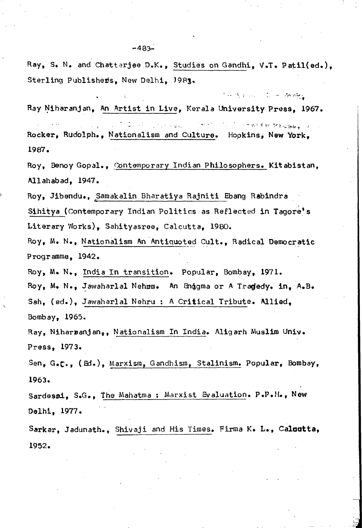Ray, S. N. and Chatterjee D.K., Studies on Gandhi, V.T. Patil(ed.), Sterling Publishers, New Delhi, J983.

 $\mathcal{L}_{\mathcal{M}}$  is  $\mathcal{L}_{\mathcal{M}}$  .  $\mathcal{L}_{\mathcal{M}}$  is a subset of  $\mathcal{L}_{\mathcal{M}}$ 

Ray Niharanjan, An Artist in Live, Kerala University Press, 1967.

计分类系统 经无偿债券单一人 . :: ·- Rocker, Rudolph., Nationalism and Culture. Hopkins, New York, 1987.

Roy, Benoy Gopal., Contemporary Indian Philosophers. Kitabistan, Allahabad, 1947.

Roy, Jibendu., Samakalin Bharatiya Rajniti Ebang Rabindra

Sihitya (Contemporary Indian Politics as Reflected in Tagore's Literary Works), Sahityasree, Calcutta, 1980.

Roy, M. N., Nationalism An Antiquated Cult., Radical Democratic Programme, 1942.

Roy, M. N., India In transition. Popular, Bombay, 1971.

Roy, M. N., Jawaharlal Nehmu. An Enggma or A Tragedy. in, A.B.

Sah, (ed.), Jawaharlal Nehru : A Critical Tribute. Allied, Bombay, 1965.

'·

Ray, Niharsanjan,, Nationalism In India. Aligarh Muslim Univ. Press, 1973.

Sen, *G.c.,* (Ed.), Marxism, Gandhisrn, Stalinism. Popular, Bombay, 1963.

Sardesmi, S.G., The Mahatma : Marxist Evaluation. P.P.H., New Delhi, 1977.

Sarkar, Jadunath., Shivaji and His Times. Firma K. L., Calcutta, 1952.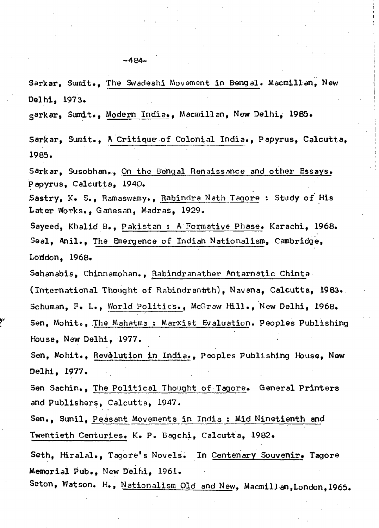Sarkar, Sumit., The Swadeshi Movement in Bengal. Macmillan. New Delhi, 1973. garkar, Sumit., Modern India., Macmillan, New Delhi, 1985. Sarkar, Sumit., A Critique of Colonial India., Papyrus, Calcutta,

Sarkar, Susobhan,, On the Bengal Renaissance and other Essays. Papyrus, Calcutta, 1940.

Sastry, K. S., Ramaswamy., Rabindra Nath Tagore: Study of His Later Works., Ganesan, Madras, 1929.

Sayeed, Khalid B., Pakistan : A Formative Phase. Karachi, 1968. Seal, Anil., The Emergence of Indian Nationalism, Cambridge, London, 1968.

Sehanabis, Chinnamohan., Rabindranather Antarnatic Chinta (International Thought of Rabindrantth), Navana, Calcutta, 1983. Schuman, F. L., World Politics., McGraw Hill., New Delhi, 1968. Sen, Mohit., The Mahatma: Marxist Evaluation. Peoples Publishing

Sen, Mohit., Revolution in India., Peoples Publishing House, New Delhi, 1977.

Sen Sachin., The Political Thought of Tagore. General Printers and Publishers, Calcutta, 1947.

Sen., Sunil, Peasant Movements in India : Mid Ninetienth and Twentieth Centuries. K. P. Bagchi, Calcutta, 1982.

Seth, Hiralal., Tagore's Novels. In Centenary Souvenir. Tagore Memorial Pub., New Delhi, 1961.

Seton, Watson. H., Nationalism Old and New, Macmillan, London, 1965.

1985.

House, New Delhi, 1977.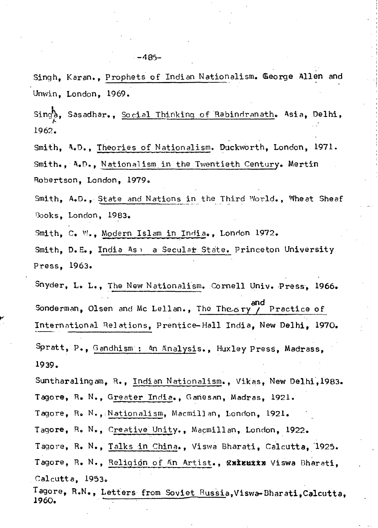Singh, Karan., Prophets of Indian Nationalism. George Allen and Unwin. London. 1969.

Sings, Sasadhar., Social Thinking of Rabindranath. Asia, Delhi, 1962.

Smith, A.D., Theories of Nationalism. Duckworth. London, 1971. Smith.. A.D., Nationalism in the Twentieth Century. Mertin Robertson, London, 1979.

Smith, A.D., State and Nations in the Third World., Wheat Sheaf Books, London, 1983.

Smith, C. W., Modern Islam in India., London 1972.

Smith, D.E., India As: a Secular State. Princeton University Press. 1963.

Snyder, L. L., The New Nationalism. Cornell Univ. Press. 1966. and Sonderman, Olsen and Mc Lellan., The Theory Practice of International Relations, Prentice-Hall India, New Delhi, 1970. Spratt, P., Gandhism: An Analysis., Huxley Press, Madrass, 1939.

Suntharalingam, R., Indian Nationalism., Vikas, New Delhi, 1983. Tagore, R. N., Greater India., Ganesan, Madras, 1921.

Tagore, R. N., Nationalism, Macmillan, London, 1921.

Tagore, R. N., Creative Unity., Macmillan, London, 1922.

Tagore, R. N., Talks in China., Viswa Bharati, Calcutta, 1925. Tagore, R. N., Religign of An Artist., &xxxxxx Viswa Bharati, Calcutta, 1953.

Tagore, R.N., Letters from Soviet Russia, Viswa-Bharati, Calcutta, 1960.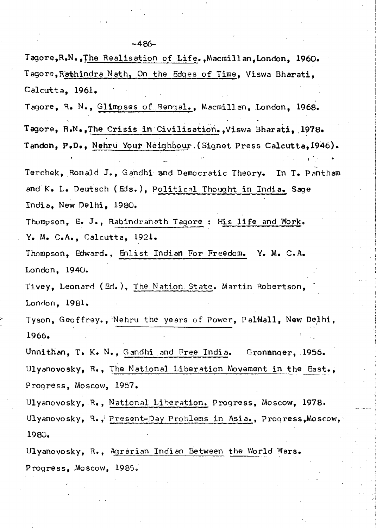$-486-$ Tagore, R.N., The Realisation of Life., Macmillan, London, 1960. Tagore, Rathindra Nath, On the Edges of Time, Viswa Bharati, Calcutta, 1961. Tagore, R. N., Glimpses of Bengal., Macmillan, London, 1968. Tagore, R.N., The Crisis in Civilisation., Viswa Bharati, 1978. Tandon, P.D., Nehru Your Neighbour. (Signet Press Calcutta, 1946). Terchek, Ronald J., Gandhi and Democratic Theory. In T. Pantham and K. L. Deutsch (Eds.), Political Thought in India. Sage India, New Delhi, 1980. Thompson, E. J., Rabindranath Tagore : His life and Work.  $Y_{\bullet}$  M. C.A., Calcutta, 1921. Thompson, Edward., Enlist Indian For Freedom. Y. M. C.A. London, 1940. Tivey, Leonard (Ed.), The Nation State. Martin Robertson, London, 1981. Tyson, Geoffrey., Nehru the years of Power, PalWall, New Delhi, 1966. Unnithan, T. K. N., Gandhi and Free India. Gronanger, 1956. Ulyanovosky, R., The National Liberation Movement in the East., Progress. Moscow. 1957. Ulyanovosky, R., National Liberation. Progress, Moscow, 1978. Ulyanovosky, R., Present-Day Problems in Asia., Progress, Moscow, 1980. Ulyanovosky, R., Agrarian Indian Between the World Wars. Progress. Moscow. 1985.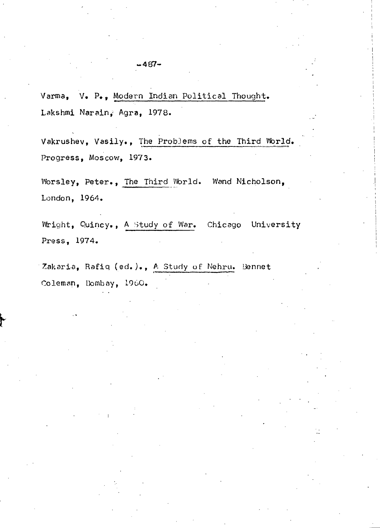Varma, V. P., Modern Indian Political Thought. Lakshmi Narain, Agra, 1978.

Vakrushev, Vasily., The Problems of the Third World. Progress, Moscow, 1973.

Worsley, Peter., The Third World. Wand Nicholson, London, 1964.

Wright, Quincy., A Study of War. Chicago University Press, 1974.

Zakaria, Rafiq (ed.)., A Study of Nehru. Bennet Coleman, Hombay, 1960.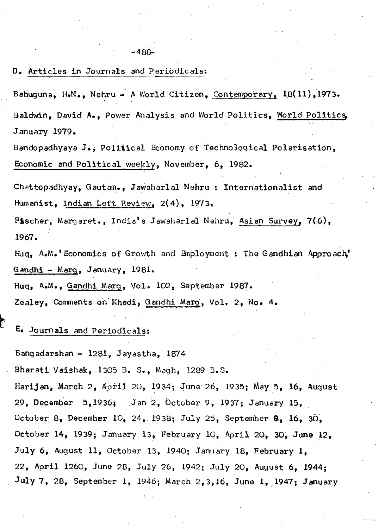D. Articles in Journals and Periodicals:

Bahuguna, H.N., Nehru - A World Citizen, Contemporary, 18(11), 1973. Baldwin, David A., Power Analysis and World Politics, World Politics, January 1979.

Bandopadhyaya J., Political Economy of Technological Polarisation, Economic and Political\_weekly, November, 6, 1982.

Chnttopadhyay, Gautam., Jawaharlal Nehru : Internationalist and Humanist, Indian Left Review,  $2(4)$ , 1973.

Fischer, Margaret., India's Jawaharlal Nehru, Asian Survey, 7(6), 1967.

Huq. A.M. 'Economics of Growth and Employment : The Gandhian Approach' Gandhi- Marg, January, 1981.

Huq, A.M., Gandhi Mar9, Volo 102, September 1987.

Zealey, Comments on Khadi, Gandhi Marg, Vol. 2. No. 4.

E. Journals and Periodicals:

 $\mathbf{t}$ 

Bangadarshan- 1281, Jayastha, 1874

Bharati Vaishak, 1305 B. S., Magh, 1289 B.S.

Harijan, March 2, April 20, 1934; June 26, 1935; May 5, 16, August 29, December 5,19 36j .Jan 2, October 9, 1937; January 15, October 8, December 10, 24, 1938; July 25, September **9,**  16, 30, October 14, 1939; January 13, February 10, April 20, 30, June 12, July 6, August 11, October 13, 1940; January 18, February **1,**  22, April 1260, June 28, July 26, 1942; July 20, August 6, 1944; July 7, 28, September 1, 1946; March 2, 3, 16, June 1, 1947; January